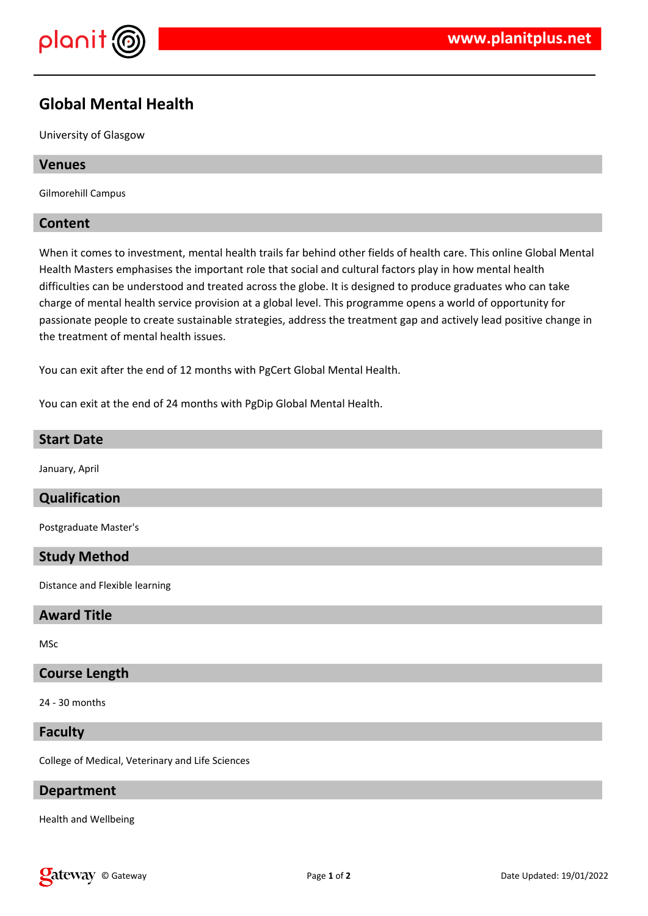

# **Global Mental Health**

University of Glasgow

### **Venues**

Gilmorehill Campus

## **Content**

When it comes to investment, mental health trails far behind other fields of health care. This online Global Mental Health Masters emphasises the important role that social and cultural factors play in how mental health difficulties can be understood and treated across the globe. It is designed to produce graduates who can take charge of mental health service provision at a global level. This programme opens a world of opportunity for passionate people to create sustainable strategies, address the treatment gap and actively lead positive change in the treatment of mental health issues.

You can exit after the end of 12 months with PgCert Global Mental Health.

You can exit at the end of 24 months with PgDip Global Mental Health.

### **Start Date**

January, April

## **Qualification**

Postgraduate Master's

#### **Study Method**

Distance and Flexible learning

## **Award Title**

MSc

#### **Course Length**

24 - 30 months

## **Faculty**

College of Medical, Veterinary and Life Sciences

# **Department**

Health and Wellbeing